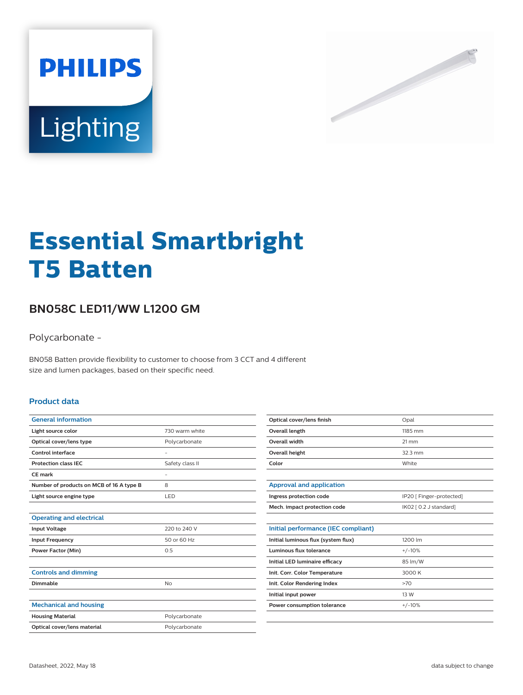



# **Essential Smartbright T5 Batten**

## **BN058C LED11/WW L1200 GM**

Polycarbonate -

BN058 Batten provide flexibility to customer to choose from 3 CCT and 4 different size and lumen packages, based on their specific need.

#### **Product data**

| <b>General information</b>               |                          |
|------------------------------------------|--------------------------|
| Light source color                       | 730 warm white           |
| Optical cover/lens type                  | Polycarbonate            |
| Control interface                        | ٠                        |
| <b>Protection class IEC</b>              | Safety class II          |
| CE mark                                  | $\overline{\phantom{a}}$ |
| Number of products on MCB of 16 A type B | 8                        |
| Light source engine type                 | LED.                     |
|                                          |                          |
| <b>Operating and electrical</b>          |                          |
| <b>Input Voltage</b>                     | 220 to 240 V             |
| <b>Input Frequency</b>                   | 50 or 60 Hz              |
| <b>Power Factor (Min)</b>                | 0.5                      |
|                                          |                          |
| <b>Controls and dimming</b>              |                          |
| Dimmable                                 | <b>No</b>                |
|                                          |                          |
| <b>Mechanical and housing</b>            |                          |
| <b>Housing Material</b>                  | Polycarbonate            |
| Optical cover/lens material              | Polycarbonate            |
|                                          |                          |

| Optical cover/lens finish | Opal              |
|---------------------------|-------------------|
| Overall length            | 1185 mm           |
| Overall width             | $21 \, \text{mm}$ |
| Overall height            | $32.3 \text{ mm}$ |
| Color                     | White             |

| Approval and application     |                          |
|------------------------------|--------------------------|
| Ingress protection code      | IP20 [ Finger-protected] |
| Mech. impact protection code | IK02 [ 0.2 J standard]   |

| Initial performance (IEC compliant) |          |
|-------------------------------------|----------|
| Initial luminous flux (system flux) | 1200 lm  |
| Luminous flux tolerance             | $+/-10%$ |
| Initial LED luminaire efficacy      | 85 lm/W  |
| Init. Corr. Color Temperature       | 3000 K   |
| Init. Color Rendering Index         | >70      |
| Initial input power                 | 13 W     |
| Power consumption tolerance         | $+/-10%$ |
|                                     |          |